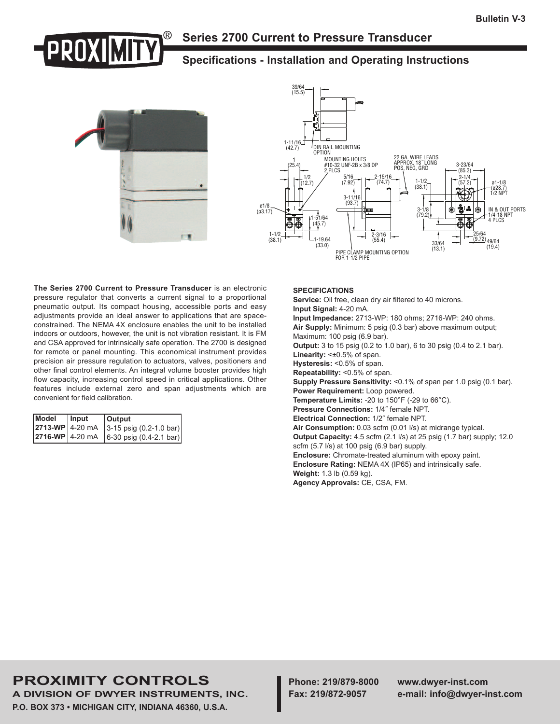## **Series 2700 Current to Pressure Transducer**

## **Specifications - Installation and Operating Instructions**





**The Series 2700 Current to Pressure Transducer** is an electronic pressure regulator that converts a current signal to a proportional pneumatic output. Its compact housing, accessible ports and easy adjustments provide an ideal answer to applications that are spaceconstrained. The NEMA 4X enclosure enables the unit to be installed indoors or outdoors, however, the unit is not vibration resistant. It is FM and CSA approved for intrinsically safe operation. The 2700 is designed for remote or panel mounting. This economical instrument provides precision air pressure regulation to actuators, valves, positioners and other final control elements. An integral volume booster provides high flow capacity, increasing control speed in critical applications. Other features include external zero and span adjustments which are convenient for field calibration.

| Model           | Input | <b>Output</b>                                                   |
|-----------------|-------|-----------------------------------------------------------------|
| 2713-WP 4-20 mA |       | $3-15$ psig $(0.2-1.0 \text{ bar})$                             |
|                 |       | $\vert$ 2716-WP $\vert$ 4-20 mA $\vert$ 6-30 psig (0.4-2.1 bar) |

#### **SPECIFICATIONS**

**Service:** Oil free, clean dry air filtered to 40 microns. **Input Signal:** 4-20 mA.

**Input Impedance:** 2713-WP: 180 ohms; 2716-WP: 240 ohms. **Air Supply:** Minimum: 5 psig (0.3 bar) above maximum output; Maximum: 100 psig (6.9 bar).

**Output:** 3 to 15 psig (0.2 to 1.0 bar), 6 to 30 psig (0.4 to 2.1 bar). Linearity: < $\pm 0.5$ % of span.

**Hysteresis:** <0.5% of span.

**Repeatability:** <0.5% of span.

**Supply Pressure Sensitivity:** <0.1% of span per 1.0 psig (0.1 bar). **Power Requirement:** Loop powered.

**Temperature Limits:** -20 to 150°F (-29 to 66°C).

**Pressure Connections:** 1/4˝ female NPT.

**Electrical Connection:** 1/2˝ female NPT.

**Air Consumption:** 0.03 scfm (0.01 l/s) at midrange typical.

**Output Capacity:** 4.5 scfm (2.1 l/s) at 25 psig (1.7 bar) supply; 12.0 scfm (5.7 l/s) at 100 psig (6.9 bar) supply.

**Enclosure:** Chromate-treated aluminum with epoxy paint. **Enclosure Rating:** NEMA 4X (IP65) and intrinsically safe. **Weight:** 1.3 lb (0.59 kg).

**Agency Approvals:** CE, CSA, FM.

# **PROXIMITY CONTROLS Phone: 219/879-8000 www.dwyer-inst.com**

**A DIVISION OF DWYER INSTRUMENTS, INC. Fax: 219/872-9057 e-mail: info@dwyer-inst.com P.O. BOX 373 • MICHIGAN CITY, INDIANA 46360, U.S.A.**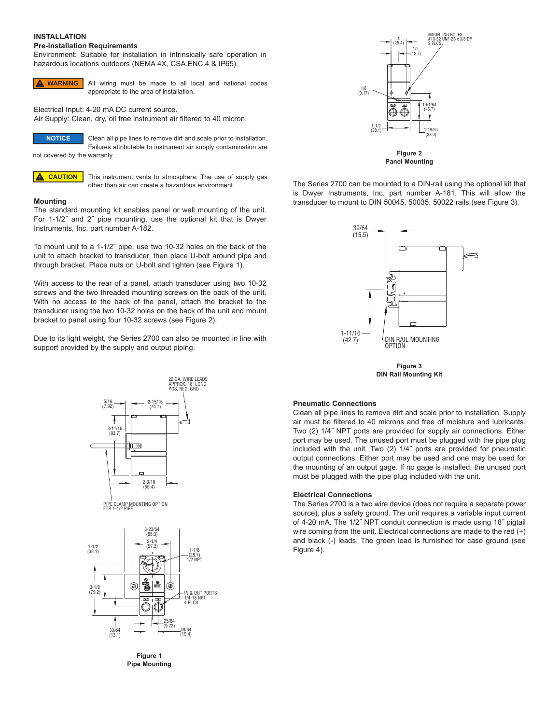### **INSTALLATION**

#### **Pre-installation Requirements**

Environment: Suitable for installation in intrinsically safe operation in hazardous locations outdoors (NEMA 4X, CSA.ENC.4 & IP65).



All wiring must be made to all local and national codes appropriate to the area of installation.

Electrical Input: 4-20 mA DC current source.

Air Supply: Clean, dry, oil free instrument air filtered to 40 micron.



Clean all pipe lines to remove dirt and scale prior to installation. Failures attributable to instrument air supply contamination are not covered by the warranty.



This instrument vents to atmosphere. The use of supply gas other than air can create a hazardous environment.

#### **Mounting**

The standard mounting kit enables panel or wall mounting of the unit. For 1-1/2˝ and 2˝ pipe mounting, use the optional kit that is Dwyer Instruments, Inc. part number A-182.

To mount unit to a 1-1/2˝ pipe, use two 10-32 holes on the back of the unit to attach bracket to transducer. then place U-bolt around pipe and through bracket. Place nuts on U-bolt and tighten (see Figure 1).

With access to the rear of a panel, attach transducer using two 10-32 screws and the two threaded mounting screws on the back of the unit. With no access to the back of the panel, attach the bracket to the transducer using the two 10-32 holes on the back of the unit and mount bracket to panel using four 10-32 screws (see Figure 2).

Due to its light weight, the Series 2700 can also be mounted in line with support provided by the supply and output piping.







**Figure 1 Pipe Mounting**



**Panel Mounting**

The Series 2700 can be mounted to a DIN-rail using the optional kit that is Dwyer Instruments, Inc. part number A-181. This will allow the transducer to mount to DIN 50045, 50035, 50022 rails (see Figure 3).



**Figure 3 DIN Rail Mounting Kit**

#### **Pneumatic Connections**

Clean all pipe lines to remove dirt and scale prior to installation. Supply air must be filtered to 40 microns and free of moisture and lubricants. Two (2) 1/4˝ NPT ports are provided for supply air connections. Either port may be used. The unused port must be plugged with the pipe plug included with the unit. Two (2) 1/4˝ ports are provided for pneumatic output connections. Either port may be used and one may be used for the mounting of an output gage. If no gage is installed, the unused port must be plugged with the pipe plug included with the unit.

#### **Electrical Connections**

The Series 2700 is a two wire device (does not require a separate power source), plus a safety ground. The unit requires a variable input current of 4-20 mA. The 1/2˝ NPT conduit connection is made using 18˝ pigtail wire coming from the unit. Electrical connections are made to the red (+) and black (-) leads. The green lead is furnished for case ground (see Figure 4).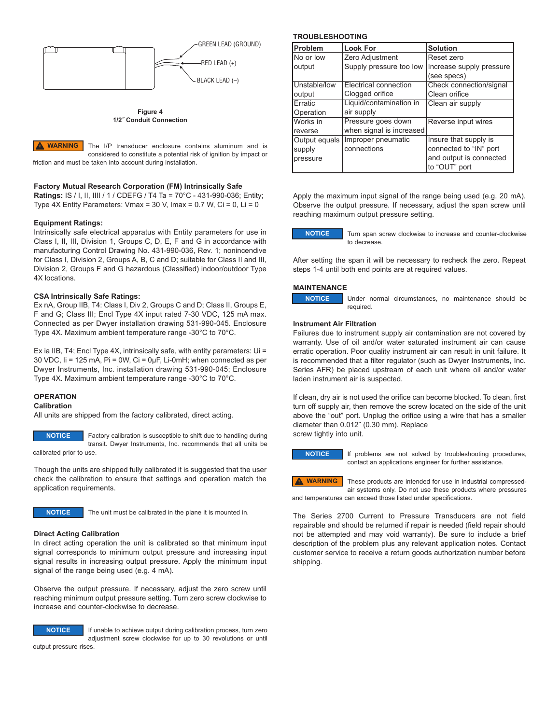

**Figure 4 1/2˝ Conduit Connection**

The I/P transducer enclosure contains aluminum and is considered to constitute a potential risk of ignition by impact or friction and must be taken into account during installation. **WARNING**

#### **Factory Mutual Research Corporation (FM) Intrinsically Safe**

**Ratings:** IS / I, II, IIII / 1 / CDEFG / T4 Ta = 70°C - 431-990-036; Entity; Type  $4X$  Entity Parameters: Vmax = 30 V, Imax = 0.7 W, Ci = 0, Li = 0

#### **Equipment Ratings:**

Intrinsically safe electrical apparatus with Entity parameters for use in Class I, II, III, Division 1, Groups C, D, E, F and G in accordance with manufacturing Control Drawing No. 431-990-036, Rev. 1; nonincendive for Class I, Division 2, Groups A, B, C and D; suitable for Class II and III, Division 2, Groups F and G hazardous (Classified) indoor/outdoor Type 4X locations.

#### **CSA Intrinsically Safe Ratings:**

Ex nA, Group IIB, T4: Class I, Div 2, Groups C and D; Class II, Groups E, F and G; Class III; Encl Type 4X input rated 7-30 VDC, 125 mA max. Connected as per Dwyer installation drawing 531-990-045. Enclosure Type 4X. Maximum ambient temperature range -30°C to 70°C.

Ex ia IIB, T4; Encl Type 4X, intrinsically safe, with entity parameters: Ui = 30 VDC, Ii = 125 mA, Pi = 0W, Ci = 0µF, Li-0mH; when connected as per Dwyer Instruments, Inc. installation drawing 531-990-045; Enclosure Type 4X. Maximum ambient temperature range -30°C to 70°C.

## **OPERATION**

**Calibration** All units are shipped from the factory calibrated, direct acting.

**NOTICE**

Factory calibration is susceptible to shift due to handling during transit. Dwyer Instruments, Inc. recommends that all units be

calibrated prior to use.

Though the units are shipped fully calibrated it is suggested that the user check the calibration to ensure that settings and operation match the application requirements.



**NOTICE** The unit must be calibrated in the plane it is mounted in.

#### **Direct Acting Calibration**

In direct acting operation the unit is calibrated so that minimum input signal corresponds to minimum output pressure and increasing input signal results in increasing output pressure. Apply the minimum input signal of the range being used (e.g. 4 mA).

Observe the output pressure. If necessary, adjust the zero screw until reaching minimum output pressure setting. Turn zero screw clockwise to increase and counter-clockwise to decrease.



If unable to achieve output during calibration process, turn zero adjustment screw clockwise for up to 30 revolutions or until

output pressure rises.

#### **TROUBLESHOOTING**

| <b>Problem</b>   | <b>Look For</b>          | <b>Solution</b>          |
|------------------|--------------------------|--------------------------|
| No or low        | Zero Adjustment          | Reset zero               |
| <b>loutput</b>   | Supply pressure too low  | Increase supply pressure |
|                  |                          | (see specs)              |
| Unstable/low     | Electrical connection    | Check connection/signal  |
| <b>loutput</b>   | Clogged orifice          | Clean orifice            |
| Erratic          | Liquid/contamination in  | Clean air supply         |
| Operation        | air supply               |                          |
| Works in         | Pressure goes down       | Reverse input wires      |
| <b>I</b> reverse | when signal is increased |                          |
| Output equals    | Improper pneumatic       | Insure that supply is    |
| supply           | connections              | connected to "IN" port   |
| pressure         |                          | and output is connected  |
|                  |                          | to "OUT" port            |

Apply the maximum input signal of the range being used (e.g. 20 mA). Observe the output pressure. If necessary, adjust the span screw until reaching maximum output pressure setting.

**NOTICE**

Turn span screw clockwise to increase and counter-clockwise to decrease.

Under normal circumstances, no maintenance should be

After setting the span it will be necessary to recheck the zero. Repeat steps 1-4 until both end points are at required values.

#### **MAINTENANCE**

**NOTICE**

# **Instrument Air Filtration**

required.

Failures due to instrument supply air contamination are not covered by warranty. Use of oil and/or water saturated instrument air can cause erratic operation. Poor quality instrument air can result in unit failure. It is recommended that a filter regulator (such as Dwyer Instruments, Inc. Series AFR) be placed upstream of each unit where oil and/or water laden instrument air is suspected.

If clean, dry air is not used the orifice can become blocked. To clean, first turn off supply air, then remove the screw located on the side of the unit above the "out" port. Unplug the orifice using a wire that has a smaller diameter than 0.012˝ (0.30 mm). Replace screw tightly into unit.

**NOTICE**

If problems are not solved by troubleshooting procedures, contact an applications engineer for further assistance.

**WARNING**

These products are intended for use in industrial compressedair systems only. Do not use these products where pressures and temperatures can exceed those listed under specifications.

The Series 2700 Current to Pressure Transducers are not field repairable and should be returned if repair is needed (field repair should not be attempted and may void warranty). Be sure to include a brief description of the problem plus any relevant application notes. Contact customer service to receive a return goods authorization number before shipping.